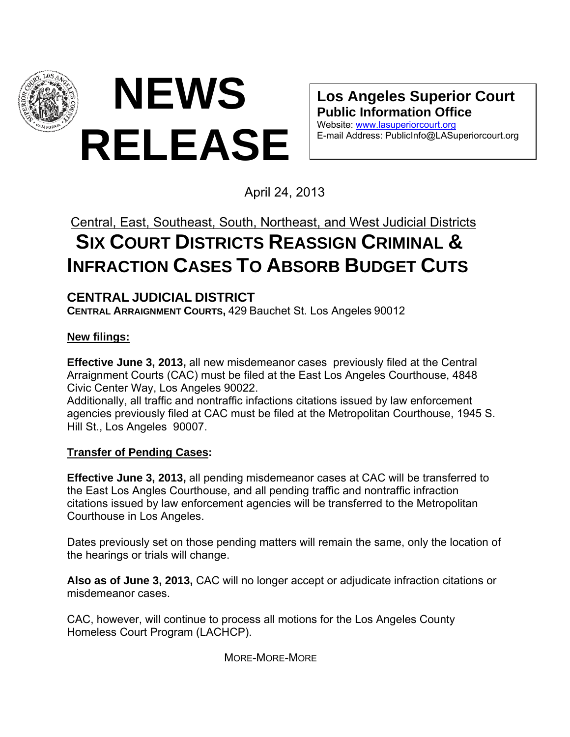

**Los Angeles Superior Court Public Information Office** 

Website: [www.lasuperiorcourt.org](http://www.lasuperiorcourt.org/) E-mail Address: PublicInfo@LASuperiorcourt.org

April 24, 2013

# Central, East, Southeast, South, Northeast, and West Judicial Districts  **SIX COURT DISTRICTS REASSIGN CRIMINAL & INFRACTION CASES TO ABSORB BUDGET CUTS**

# **CENTRAL JUDICIAL DISTRICT**

**CENTRAL ARRAIGNMENT COURTS,** 429 Bauchet St. Los Angeles 90012

# **New filings:**

**Effective June 3, 2013,** all new misdemeanor cases previously filed at the Central Arraignment Courts (CAC) must be filed at the East Los Angeles Courthouse, 4848 Civic Center Way, Los Angeles 90022.

Additionally, all traffic and nontraffic infactions citations issued by law enforcement agencies previously filed at CAC must be filed at the Metropolitan Courthouse, 1945 S. Hill St., Los Angeles 90007.

# **Transfer of Pending Cases:**

**Effective June 3, 2013,** all pending misdemeanor cases at CAC will be transferred to the East Los Angles Courthouse, and all pending traffic and nontraffic infraction citations issued by law enforcement agencies will be transferred to the Metropolitan Courthouse in Los Angeles.

Dates previously set on those pending matters will remain the same, only the location of the hearings or trials will change.

**Also as of June 3, 2013,** CAC will no longer accept or adjudicate infraction citations or misdemeanor cases.

CAC, however, will continue to process all motions for the Los Angeles County Homeless Court Program (LACHCP).

MORE-MORE-MORE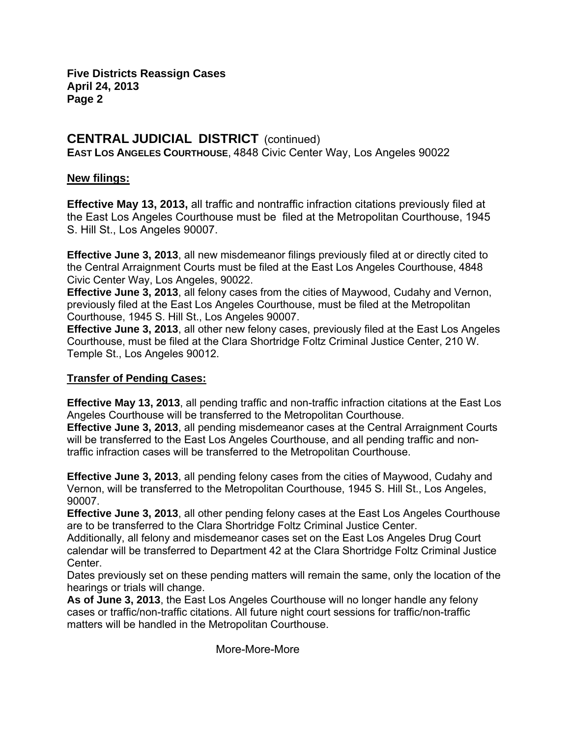**Five Districts Reassign Cases April 24, 2013 Page 2** 

# **CENTRAL JUDICIAL DISTRICT** (continued)

**EAST LOS ANGELES COURTHOUSE**, 4848 Civic Center Way, Los Angeles 90022

#### **New filings:**

**Effective May 13, 2013,** all traffic and nontraffic infraction citations previously filed at the East Los Angeles Courthouse must be filed at the Metropolitan Courthouse, 1945 S. Hill St., Los Angeles 90007.

**Effective June 3, 2013**, all new misdemeanor filings previously filed at or directly cited to the Central Arraignment Courts must be filed at the East Los Angeles Courthouse, 4848 Civic Center Way, Los Angeles, 90022.

**Effective June 3, 2013**, all felony cases from the cities of Maywood, Cudahy and Vernon, previously filed at the East Los Angeles Courthouse, must be filed at the Metropolitan Courthouse, 1945 S. Hill St., Los Angeles 90007.

**Effective June 3, 2013**, all other new felony cases, previously filed at the East Los Angeles Courthouse, must be filed at the Clara Shortridge Foltz Criminal Justice Center, 210 W. Temple St., Los Angeles 90012.

# **Transfer of Pending Cases:**

**Effective May 13, 2013**, all pending traffic and non-traffic infraction citations at the East Los Angeles Courthouse will be transferred to the Metropolitan Courthouse.

**Effective June 3, 2013**, all pending misdemeanor cases at the Central Arraignment Courts will be transferred to the East Los Angeles Courthouse, and all pending traffic and nontraffic infraction cases will be transferred to the Metropolitan Courthouse.

**Effective June 3, 2013**, all pending felony cases from the cities of Maywood, Cudahy and Vernon, will be transferred to the Metropolitan Courthouse, 1945 S. Hill St., Los Angeles, 90007.

**Effective June 3, 2013**, all other pending felony cases at the East Los Angeles Courthouse are to be transferred to the Clara Shortridge Foltz Criminal Justice Center.

Additionally, all felony and misdemeanor cases set on the East Los Angeles Drug Court calendar will be transferred to Department 42 at the Clara Shortridge Foltz Criminal Justice Center.

Dates previously set on these pending matters will remain the same, only the location of the hearings or trials will change.

**As of June 3, 2013**, the East Los Angeles Courthouse will no longer handle any felony cases or traffic/non-traffic citations. All future night court sessions for traffic/non-traffic matters will be handled in the Metropolitan Courthouse.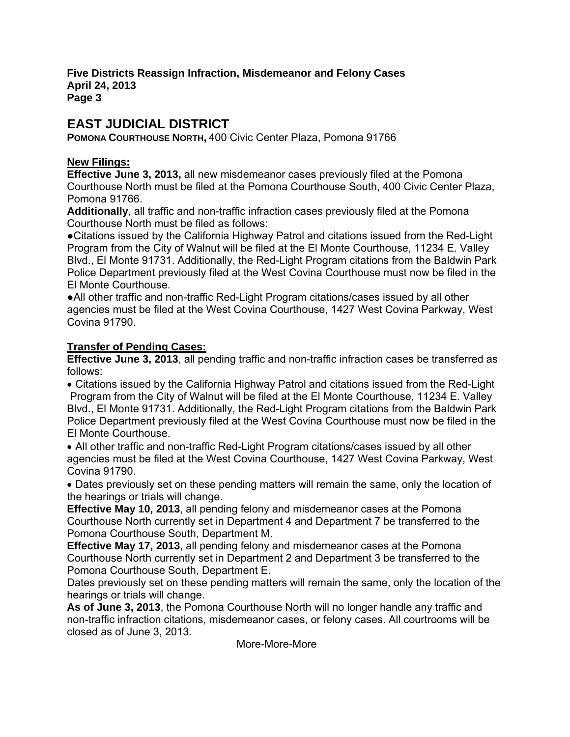**Five Districts Reassign Infraction, Misdemeanor and Felony Cases April 24, 2013 Page 3** 

# **EAST JUDICIAL DISTRICT**

**POMONA COURTHOUSE NORTH,** 400 Civic Center Plaza, Pomona 91766

# **New Filings:**

**Effective June 3, 2013,** all new misdemeanor cases previously filed at the Pomona Courthouse North must be filed at the Pomona Courthouse South, 400 Civic Center Plaza, Pomona 91766.

**Additionally**, all traffic and non-traffic infraction cases previously filed at the Pomona Courthouse North must be filed as follows:

●Citations issued by the California Highway Patrol and citations issued from the Red-Light Program from the City of Walnut will be filed at the El Monte Courthouse, 11234 E. Valley Blvd., El Monte 91731. Additionally, the Red-Light Program citations from the Baldwin Park Police Department previously filed at the West Covina Courthouse must now be filed in the El Monte Courthouse.

●All other traffic and non-traffic Red-Light Program citations/cases issued by all other agencies must be filed at the West Covina Courthouse, 1427 West Covina Parkway, West Covina 91790.

#### **Transfer of Pending Cases:**

**Effective June 3, 2013**, all pending traffic and non-traffic infraction cases be transferred as follows:

 Citations issued by the California Highway Patrol and citations issued from the Red-Light Program from the City of Walnut will be filed at the El Monte Courthouse, 11234 E. Valley Blvd., El Monte 91731. Additionally, the Red-Light Program citations from the Baldwin Park Police Department previously filed at the West Covina Courthouse must now be filed in the El Monte Courthouse.

 All other traffic and non-traffic Red-Light Program citations/cases issued by all other agencies must be filed at the West Covina Courthouse, 1427 West Covina Parkway, West Covina 91790.

 Dates previously set on these pending matters will remain the same, only the location of the hearings or trials will change.

**Effective May 10, 2013**, all pending felony and misdemeanor cases at the Pomona Courthouse North currently set in Department 4 and Department 7 be transferred to the Pomona Courthouse South, Department M.

**Effective May 17, 2013**, all pending felony and misdemeanor cases at the Pomona Courthouse North currently set in Department 2 and Department 3 be transferred to the Pomona Courthouse South, Department E.

Dates previously set on these pending matters will remain the same, only the location of the hearings or trials will change.

**As of June 3, 2013**, the Pomona Courthouse North will no longer handle any traffic and non-traffic infraction citations, misdemeanor cases, or felony cases. All courtrooms will be closed as of June 3, 2013.

More-More-More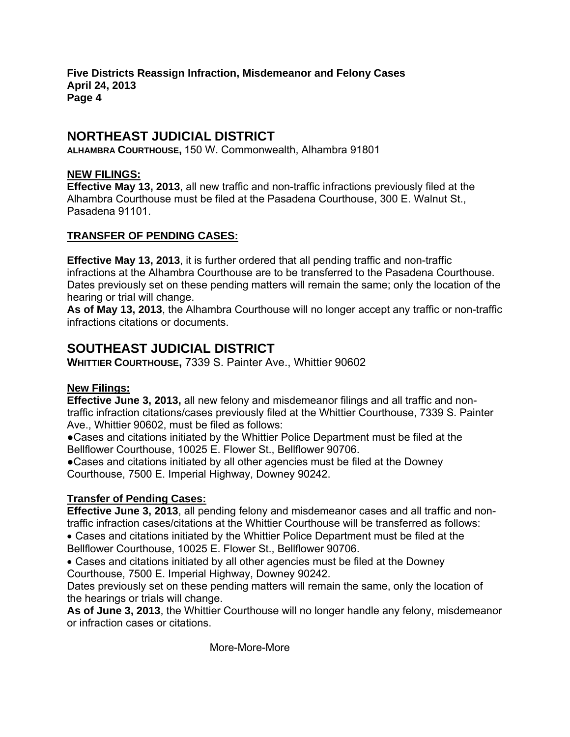**Five Districts Reassign Infraction, Misdemeanor and Felony Cases April 24, 2013 Page 4** 

# **NORTHEAST JUDICIAL DISTRICT**

**ALHAMBRA COURTHOUSE,** 150 W. Commonwealth, Alhambra 91801

#### **NEW FILINGS:**

**Effective May 13, 2013**, all new traffic and non-traffic infractions previously filed at the Alhambra Courthouse must be filed at the Pasadena Courthouse, 300 E. Walnut St., Pasadena 91101.

#### **TRANSFER OF PENDING CASES:**

**Effective May 13, 2013**, it is further ordered that all pending traffic and non-traffic infractions at the Alhambra Courthouse are to be transferred to the Pasadena Courthouse. Dates previously set on these pending matters will remain the same; only the location of the hearing or trial will change.

**As of May 13, 2013**, the Alhambra Courthouse will no longer accept any traffic or non-traffic infractions citations or documents.

# **SOUTHEAST JUDICIAL DISTRICT**

**WHITTIER COURTHOUSE,** 7339 S. Painter Ave., Whittier 90602

#### **New Filings:**

**Effective June 3, 2013,** all new felony and misdemeanor filings and all traffic and nontraffic infraction citations/cases previously filed at the Whittier Courthouse, 7339 S. Painter Ave., Whittier 90602, must be filed as follows:

●Cases and citations initiated by the Whittier Police Department must be filed at the Bellflower Courthouse, 10025 E. Flower St., Bellflower 90706.

●Cases and citations initiated by all other agencies must be filed at the Downey Courthouse, 7500 E. Imperial Highway, Downey 90242.

# **Transfer of Pending Cases:**

**Effective June 3, 2013**, all pending felony and misdemeanor cases and all traffic and nontraffic infraction cases/citations at the Whittier Courthouse will be transferred as follows:

 Cases and citations initiated by the Whittier Police Department must be filed at the Bellflower Courthouse, 10025 E. Flower St., Bellflower 90706.

 Cases and citations initiated by all other agencies must be filed at the Downey Courthouse, 7500 E. Imperial Highway, Downey 90242.

Dates previously set on these pending matters will remain the same, only the location of the hearings or trials will change.

**As of June 3, 2013**, the Whittier Courthouse will no longer handle any felony, misdemeanor or infraction cases or citations.

More-More-More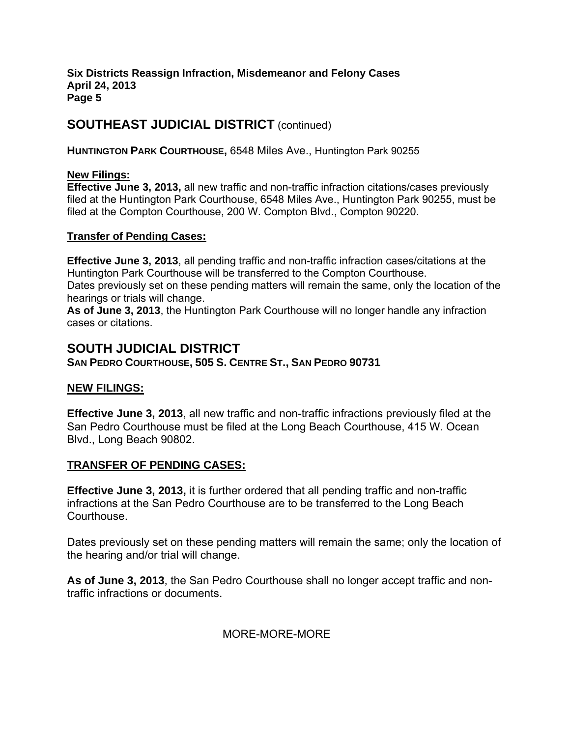**Six Districts Reassign Infraction, Misdemeanor and Felony Cases April 24, 2013 Page 5** 

# **SOUTHEAST JUDICIAL DISTRICT** (continued)

**HuNTINGTON PARK COURTHOUSE,** 6548 Miles Ave., Huntington Park 90255

#### **New Filings:**

**Effective June 3, 2013,** all new traffic and non-traffic infraction citations/cases previously filed at the Huntington Park Courthouse, 6548 Miles Ave., Huntington Park 90255, must be filed at the Compton Courthouse, 200 W. Compton Blvd., Compton 90220.

#### **Transfer of Pending Cases:**

**Effective June 3, 2013**, all pending traffic and non-traffic infraction cases/citations at the Huntington Park Courthouse will be transferred to the Compton Courthouse. Dates previously set on these pending matters will remain the same, only the location of the hearings or trials will change.

**As of June 3, 2013**, the Huntington Park Courthouse will no longer handle any infraction cases or citations.

# **SOUTH JUDICIAL DISTRICT**

**SAN PEDRO COURTHOUSE, 505 S. CENTRE ST., SAN PEDRO 90731**

# **NEW FILINGS:**

**Effective June 3, 2013**, all new traffic and non-traffic infractions previously filed at the San Pedro Courthouse must be filed at the Long Beach Courthouse, 415 W. Ocean Blvd., Long Beach 90802.

# **TRANSFER OF PENDING CASES:**

**Effective June 3, 2013,** it is further ordered that all pending traffic and non-traffic infractions at the San Pedro Courthouse are to be transferred to the Long Beach Courthouse.

Dates previously set on these pending matters will remain the same; only the location of the hearing and/or trial will change.

**As of June 3, 2013**, the San Pedro Courthouse shall no longer accept traffic and nontraffic infractions or documents.

# MORE-MORE-MORE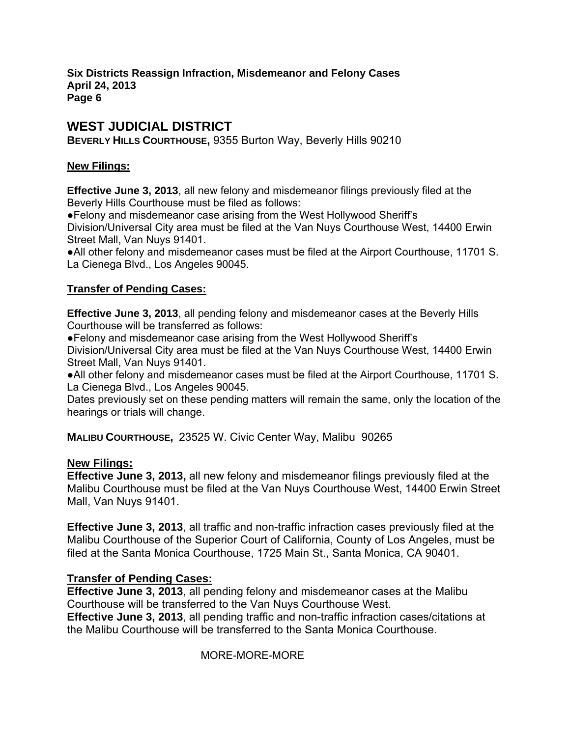**Six Districts Reassign Infraction, Misdemeanor and Felony Cases April 24, 2013 Page 6** 

# **WEST JUDICIAL DISTRICT**

**BEVERLY HILLS COURTHOUSE,** 9355 Burton Way, Beverly Hills 90210

#### **New Filings:**

**Effective June 3, 2013**, all new felony and misdemeanor filings previously filed at the Beverly Hills Courthouse must be filed as follows:

●Felony and misdemeanor case arising from the West Hollywood Sheriff's Division/Universal City area must be filed at the Van Nuys Courthouse West, 14400 Erwin Street Mall, Van Nuys 91401.

●All other felony and misdemeanor cases must be filed at the Airport Courthouse, 11701 S. La Cienega Blvd., Los Angeles 90045.

# **Transfer of Pending Cases:**

**Effective June 3, 2013**, all pending felony and misdemeanor cases at the Beverly Hills Courthouse will be transferred as follows:

●Felony and misdemeanor case arising from the West Hollywood Sheriff's Division/Universal City area must be filed at the Van Nuys Courthouse West, 14400 Erwin Street Mall, Van Nuys 91401.

●All other felony and misdemeanor cases must be filed at the Airport Courthouse, 11701 S. La Cienega Blvd., Los Angeles 90045.

Dates previously set on these pending matters will remain the same, only the location of the hearings or trials will change.

**MALIBU COURTHOUSE,** 23525 W. Civic Center Way, Malibu 90265

# **New Filings:**

**Effective June 3, 2013,** all new felony and misdemeanor filings previously filed at the Malibu Courthouse must be filed at the Van Nuys Courthouse West, 14400 Erwin Street Mall, Van Nuys 91401.

**Effective June 3, 2013**, all traffic and non-traffic infraction cases previously filed at the Malibu Courthouse of the Superior Court of California, County of Los Angeles, must be filed at the Santa Monica Courthouse, 1725 Main St., Santa Monica, CA 90401.

# **Transfer of Pending Cases:**

**Effective June 3, 2013**, all pending felony and misdemeanor cases at the Malibu Courthouse will be transferred to the Van Nuys Courthouse West.

**Effective June 3, 2013**, all pending traffic and non-traffic infraction cases/citations at the Malibu Courthouse will be transferred to the Santa Monica Courthouse.

MORE-MORE-MORE